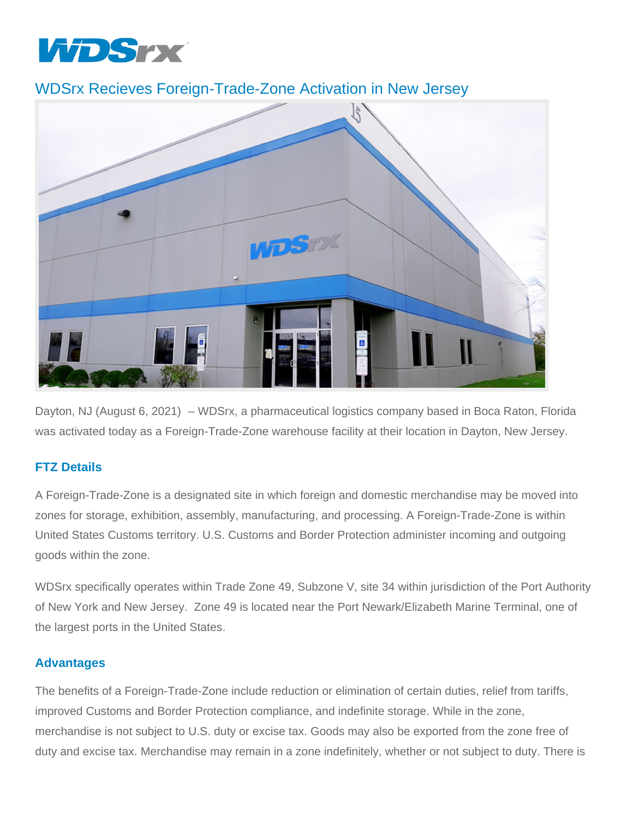

## WDSrx Recieves Foreign-Trade-Zone Activation in New Jersey



Dayton, NJ (August 6, 2021) – WDSrx, a pharmaceutical logistics company based in Boca Raton, Florida was activated today as a Foreign-Trade-Zone warehouse facility at their location in Dayton, New Jersey.

## **FTZ Details**

A Foreign-Trade-Zone is a designated site in which foreign and domestic merchandise may be moved into zones for storage, exhibition, assembly, manufacturing, and processing. A Foreign-Trade-Zone is within United States Customs territory. U.S. Customs and Border Protection administer incoming and outgoing goods within the zone.

WDSrx specifically operates within Trade Zone 49, Subzone V, site 34 within jurisdiction of the Port Authority of New York and New Jersey. Zone 49 is located near the Port Newark/Elizabeth Marine Terminal, one of the largest ports in the United States.

## **Advantages**

The benefits of a Foreign-Trade-Zone include reduction or elimination of certain duties, relief from tariffs, improved Customs and Border Protection compliance, and indefinite storage. While in the zone, merchandise is not subject to U.S. duty or excise tax. Goods may also be exported from the zone free of duty and excise tax. Merchandise may remain in a zone indefinitely, whether or not subject to duty. There is